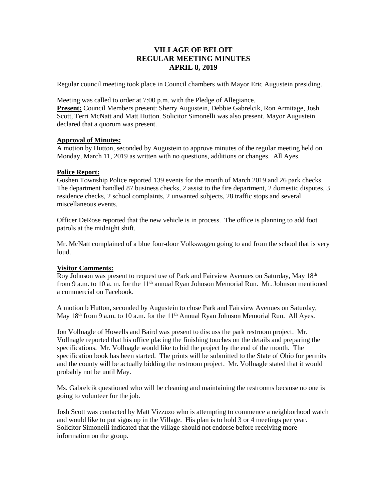# **VILLAGE OF BELOIT REGULAR MEETING MINUTES APRIL 8, 2019**

Regular council meeting took place in Council chambers with Mayor Eric Augustein presiding.

Meeting was called to order at 7:00 p.m. with the Pledge of Allegiance.

**Present:** Council Members present: Sherry Augustein, Debbie Gabrelcik, Ron Armitage, Josh Scott, Terri McNatt and Matt Hutton. Solicitor Simonelli was also present. Mayor Augustein declared that a quorum was present.

# **Approval of Minutes:**

A motion by Hutton, seconded by Augustein to approve minutes of the regular meeting held on Monday, March 11, 2019 as written with no questions, additions or changes. All Ayes.

## **Police Report:**

Goshen Township Police reported 139 events for the month of March 2019 and 26 park checks. The department handled 87 business checks, 2 assist to the fire department, 2 domestic disputes, 3 residence checks, 2 school complaints, 2 unwanted subjects, 28 traffic stops and several miscellaneous events.

Officer DeRose reported that the new vehicle is in process. The office is planning to add foot patrols at the midnight shift.

Mr. McNatt complained of a blue four-door Volkswagen going to and from the school that is very loud.

# **Visitor Comments:**

Roy Johnson was present to request use of Park and Fairview Avenues on Saturday, May 18<sup>th</sup> from 9 a.m. to 10 a.m. for the  $11<sup>th</sup>$  annual Ryan Johnson Memorial Run. Mr. Johnson mentioned a commercial on Facebook.

A motion b Hutton, seconded by Augustein to close Park and Fairview Avenues on Saturday, May 18<sup>th</sup> from 9 a.m. to 10 a.m. for the 11<sup>th</sup> Annual Ryan Johnson Memorial Run. All Ayes.

Jon Vollnagle of Howells and Baird was present to discuss the park restroom project. Mr. Vollnagle reported that his office placing the finishing touches on the details and preparing the specifications. Mr. Vollnagle would like to bid the project by the end of the month. The specification book has been started. The prints will be submitted to the State of Ohio for permits and the county will be actually bidding the restroom project. Mr. Vollnagle stated that it would probably not be until May.

Ms. Gabrelcik questioned who will be cleaning and maintaining the restrooms because no one is going to volunteer for the job.

Josh Scott was contacted by Matt Vizzuzo who is attempting to commence a neighborhood watch and would like to put signs up in the Village. His plan is to hold 3 or 4 meetings per year. Solicitor Simonelli indicated that the village should not endorse before receiving more information on the group.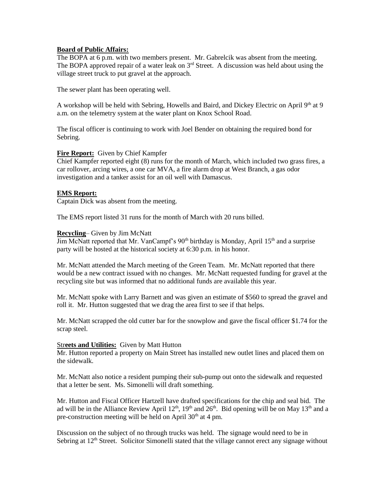# **Board of Public Affairs:**

The BOPA at 6 p.m. with two members present. Mr. Gabrelcik was absent from the meeting. The BOPA approved repair of a water leak on  $3<sup>rd</sup>$  Street. A discussion was held about using the village street truck to put gravel at the approach.

The sewer plant has been operating well.

A workshop will be held with Sebring, Howells and Baird, and Dickey Electric on April  $9<sup>th</sup>$  at 9 a.m. on the telemetry system at the water plant on Knox School Road.

The fiscal officer is continuing to work with Joel Bender on obtaining the required bond for Sebring.

## **Fire Report:** Given by Chief Kampfer

Chief Kampfer reported eight (8) runs for the month of March, which included two grass fires, a car rollover, arcing wires, a one car MVA, a fire alarm drop at West Branch, a gas odor investigation and a tanker assist for an oil well with Damascus.

# **EMS Report:**

Captain Dick was absent from the meeting.

The EMS report listed 31 runs for the month of March with 20 runs billed.

## **Recycling**– Given by Jim McNatt

 $\overline{\text{Jim McNat}}$  reported that Mr. VanCampf's 90<sup>th</sup> birthday is Monday, April 15<sup>th</sup> and a surprise party will be hosted at the historical society at 6:30 p.m. in his honor.

Mr. McNatt attended the March meeting of the Green Team. Mr. McNatt reported that there would be a new contract issued with no changes. Mr. McNatt requested funding for gravel at the recycling site but was informed that no additional funds are available this year.

Mr. McNatt spoke with Larry Barnett and was given an estimate of \$560 to spread the gravel and roll it. Mr. Hutton suggested that we drag the area first to see if that helps.

Mr. McNatt scrapped the old cutter bar for the snowplow and gave the fiscal officer \$1.74 for the scrap steel.

#### Str**eets and Utilities:** Given by Matt Hutton

Mr. Hutton reported a property on Main Street has installed new outlet lines and placed them on the sidewalk.

Mr. McNatt also notice a resident pumping their sub-pump out onto the sidewalk and requested that a letter be sent. Ms. Simonelli will draft something.

Mr. Hutton and Fiscal Officer Hartzell have drafted specifications for the chip and seal bid. The ad will be in the Alliance Review April  $12^{th}$ ,  $19^{th}$  and  $26^{th}$ . Bid opening will be on May  $13^{th}$  and a pre-construction meeting will be held on April  $30<sup>th</sup>$  at 4 pm.

Discussion on the subject of no through trucks was held. The signage would need to be in Sebring at 12<sup>th</sup> Street. Solicitor Simonelli stated that the village cannot erect any signage without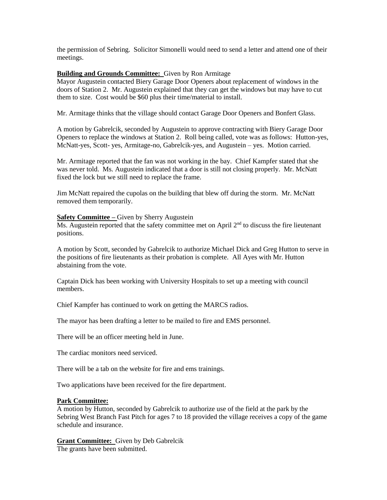the permission of Sebring. Solicitor Simonelli would need to send a letter and attend one of their meetings.

## **Building and Grounds Committee:** Given by Ron Armitage

Mayor Augustein contacted Biery Garage Door Openers about replacement of windows in the doors of Station 2. Mr. Augustein explained that they can get the windows but may have to cut them to size. Cost would be \$60 plus their time/material to install.

Mr. Armitage thinks that the village should contact Garage Door Openers and Bonfert Glass.

A motion by Gabrelcik, seconded by Augustein to approve contracting with Biery Garage Door Openers to replace the windows at Station 2. Roll being called, vote was as follows: Hutton-yes, McNatt-yes, Scott- yes, Armitage-no, Gabrelcik-yes, and Augustein – yes. Motion carried.

Mr. Armitage reported that the fan was not working in the bay. Chief Kampfer stated that she was never told. Ms. Augustein indicated that a door is still not closing properly. Mr. McNatt fixed the lock but we still need to replace the frame.

Jim McNatt repaired the cupolas on the building that blew off during the storm. Mr. McNatt removed them temporarily.

## **Safety Committee –** Given by Sherry Augustein

Ms. Augustein reported that the safety committee met on April  $2<sup>nd</sup>$  to discuss the fire lieutenant positions.

A motion by Scott, seconded by Gabrelcik to authorize Michael Dick and Greg Hutton to serve in the positions of fire lieutenants as their probation is complete. All Ayes with Mr. Hutton abstaining from the vote.

Captain Dick has been working with University Hospitals to set up a meeting with council members.

Chief Kampfer has continued to work on getting the MARCS radios.

The mayor has been drafting a letter to be mailed to fire and EMS personnel.

There will be an officer meeting held in June.

The cardiac monitors need serviced.

There will be a tab on the website for fire and ems trainings.

Two applications have been received for the fire department.

# **Park Committee:**

A motion by Hutton, seconded by Gabrelcik to authorize use of the field at the park by the Sebring West Branch Fast Pitch for ages 7 to 18 provided the village receives a copy of the game schedule and insurance.

**Grant Committee:** Given by Deb Gabrelcik The grants have been submitted.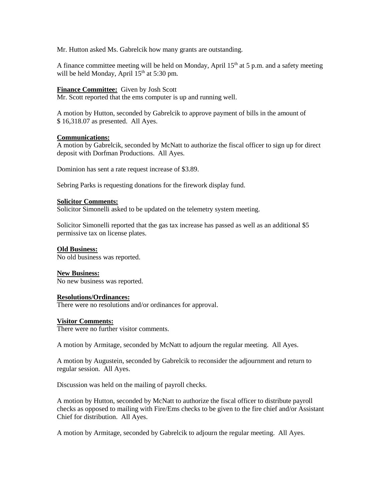Mr. Hutton asked Ms. Gabrelcik how many grants are outstanding.

A finance committee meeting will be held on Monday, April  $15<sup>th</sup>$  at 5 p.m. and a safety meeting will be held Monday, April 15<sup>th</sup> at 5:30 pm.

#### **Finance Committee:** Given by Josh Scott

Mr. Scott reported that the ems computer is up and running well.

A motion by Hutton, seconded by Gabrelcik to approve payment of bills in the amount of \$ 16,318.07 as presented. All Ayes.

## **Communications:**

A motion by Gabrelcik, seconded by McNatt to authorize the fiscal officer to sign up for direct deposit with Dorfman Productions. All Ayes.

Dominion has sent a rate request increase of \$3.89.

Sebring Parks is requesting donations for the firework display fund.

#### **Solicitor Comments:**

Solicitor Simonelli asked to be updated on the telemetry system meeting.

Solicitor Simonelli reported that the gas tax increase has passed as well as an additional \$5 permissive tax on license plates.

#### **Old Business:**

No old business was reported.

**New Business:**

No new business was reported.

#### **Resolutions/Ordinances:**

There were no resolutions and/or ordinances for approval.

#### **Visitor Comments:**

There were no further visitor comments.

A motion by Armitage, seconded by McNatt to adjourn the regular meeting. All Ayes.

A motion by Augustein, seconded by Gabrelcik to reconsider the adjournment and return to regular session. All Ayes.

Discussion was held on the mailing of payroll checks.

A motion by Hutton, seconded by McNatt to authorize the fiscal officer to distribute payroll checks as opposed to mailing with Fire/Ems checks to be given to the fire chief and/or Assistant Chief for distribution. All Ayes.

A motion by Armitage, seconded by Gabrelcik to adjourn the regular meeting. All Ayes.